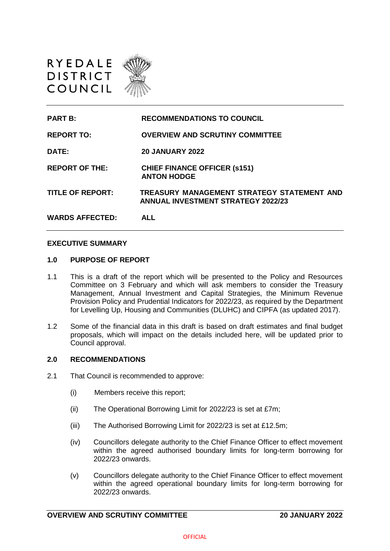

| <b>PART B:</b>          | <b>RECOMMENDATIONS TO COUNCIL</b>                                                       |
|-------------------------|-----------------------------------------------------------------------------------------|
| <b>REPORT TO:</b>       | <b>OVERVIEW AND SCRUTINY COMMITTEE</b>                                                  |
| DATE:                   | <b>20 JANUARY 2022</b>                                                                  |
| <b>REPORT OF THE:</b>   | <b>CHIEF FINANCE OFFICER (s151)</b><br><b>ANTON HODGE</b>                               |
| <b>TITLE OF REPORT:</b> | TREASURY MANAGEMENT STRATEGY STATEMENT AND<br><b>ANNUAL INVESTMENT STRATEGY 2022/23</b> |
| <b>WARDS AFFECTED:</b>  | ALL                                                                                     |

#### **EXECUTIVE SUMMARY**

#### **1.0 PURPOSE OF REPORT**

- 1.1 This is a draft of the report which will be presented to the Policy and Resources Committee on 3 February and which will ask members to consider the Treasury Management, Annual Investment and Capital Strategies, the Minimum Revenue Provision Policy and Prudential Indicators for 2022/23, as required by the Department for Levelling Up, Housing and Communities (DLUHC) and CIPFA (as updated 2017).
- 1.2 Some of the financial data in this draft is based on draft estimates and final budget proposals, which will impact on the details included here, will be updated prior to Council approval.

#### **2.0 RECOMMENDATIONS**

- 2.1 That Council is recommended to approve:
	- (i) Members receive this report;
	- (ii) The Operational Borrowing Limit for 2022/23 is set at £7m;
	- (iii) The Authorised Borrowing Limit for 2022/23 is set at £12.5m;
	- (iv) Councillors delegate authority to the Chief Finance Officer to effect movement within the agreed authorised boundary limits for long-term borrowing for 2022/23 onwards.
	- (v) Councillors delegate authority to the Chief Finance Officer to effect movement within the agreed operational boundary limits for long-term borrowing for 2022/23 onwards.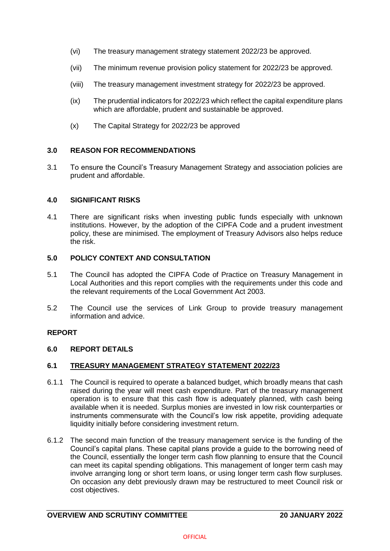- (vi) The treasury management strategy statement 2022/23 be approved.
- (vii) The minimum revenue provision policy statement for 2022/23 be approved.
- (viii) The treasury management investment strategy for 2022/23 be approved.
- (ix) The prudential indicators for 2022/23 which reflect the capital expenditure plans which are affordable, prudent and sustainable be approved.
- (x) The Capital Strategy for 2022/23 be approved

#### **3.0 REASON FOR RECOMMENDATIONS**

3.1 To ensure the Council's Treasury Management Strategy and association policies are prudent and affordable.

#### **4.0 SIGNIFICANT RISKS**

4.1 There are significant risks when investing public funds especially with unknown institutions. However, by the adoption of the CIPFA Code and a prudent investment policy, these are minimised. The employment of Treasury Advisors also helps reduce the risk.

## **5.0 POLICY CONTEXT AND CONSULTATION**

- 5.1 The Council has adopted the CIPFA Code of Practice on Treasury Management in Local Authorities and this report complies with the requirements under this code and the relevant requirements of the Local Government Act 2003.
- 5.2 The Council use the services of Link Group to provide treasury management information and advice.

## **REPORT**

#### **6.0 REPORT DETAILS**

## **6.1 TREASURY MANAGEMENT STRATEGY STATEMENT 2022/23**

- 6.1.1 The Council is required to operate a balanced budget, which broadly means that cash raised during the year will meet cash expenditure. Part of the treasury management operation is to ensure that this cash flow is adequately planned, with cash being available when it is needed. Surplus monies are invested in low risk counterparties or instruments commensurate with the Council's low risk appetite, providing adequate liquidity initially before considering investment return.
- 6.1.2 The second main function of the treasury management service is the funding of the Council's capital plans. These capital plans provide a guide to the borrowing need of the Council, essentially the longer term cash flow planning to ensure that the Council can meet its capital spending obligations. This management of longer term cash may involve arranging long or short term loans, or using longer term cash flow surpluses. On occasion any debt previously drawn may be restructured to meet Council risk or cost objectives.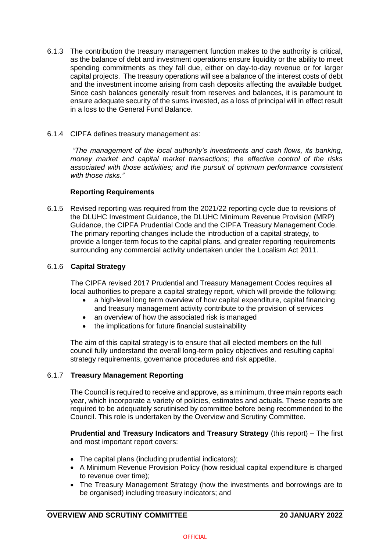- 6.1.3 The contribution the treasury management function makes to the authority is critical, as the balance of debt and investment operations ensure liquidity or the ability to meet spending commitments as they fall due, either on day-to-day revenue or for larger capital projects. The treasury operations will see a balance of the interest costs of debt and the investment income arising from cash deposits affecting the available budget. Since cash balances generally result from reserves and balances, it is paramount to ensure adequate security of the sums invested, as a loss of principal will in effect result in a loss to the General Fund Balance.
- 6.1.4 CIPFA defines treasury management as:

*"The management of the local authority's investments and cash flows, its banking, money market and capital market transactions; the effective control of the risks associated with those activities; and the pursuit of optimum performance consistent with those risks."*

## **Reporting Requirements**

6.1.5 Revised reporting was required from the 2021/22 reporting cycle due to revisions of the DLUHC Investment Guidance, the DLUHC Minimum Revenue Provision (MRP) Guidance, the CIPFA Prudential Code and the CIPFA Treasury Management Code. The primary reporting changes include the introduction of a capital strategy, to provide a longer-term focus to the capital plans, and greater reporting requirements surrounding any commercial activity undertaken under the Localism Act 2011.

## 6.1.6 **Capital Strategy**

The CIPFA revised 2017 Prudential and Treasury Management Codes requires all local authorities to prepare a capital strategy report, which will provide the following:

- a high-level long term overview of how capital expenditure, capital financing and treasury management activity contribute to the provision of services
- an overview of how the associated risk is managed
- the implications for future financial sustainability

The aim of this capital strategy is to ensure that all elected members on the full council fully understand the overall long-term policy objectives and resulting capital strategy requirements, governance procedures and risk appetite.

# 6.1.7 **Treasury Management Reporting**

The Council is required to receive and approve, as a minimum, three main reports each year, which incorporate a variety of policies, estimates and actuals. These reports are required to be adequately scrutinised by committee before being recommended to the Council. This role is undertaken by the Overview and Scrutiny Committee.

**Prudential and Treasury Indicators and Treasury Strategy** (this report) – The first and most important report covers:

- The capital plans (including prudential indicators);
- A Minimum Revenue Provision Policy (how residual capital expenditure is charged to revenue over time);
- The Treasury Management Strategy (how the investments and borrowings are to be organised) including treasury indicators; and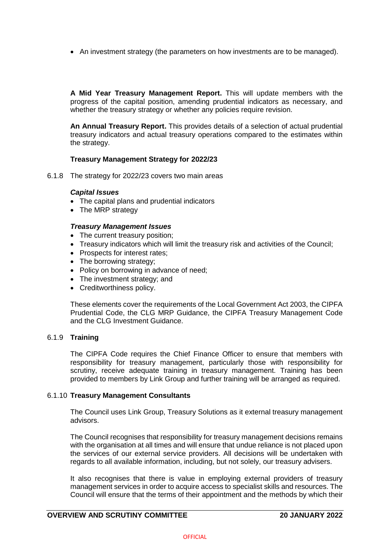• An investment strategy (the parameters on how investments are to be managed).

**A Mid Year Treasury Management Report.** This will update members with the progress of the capital position, amending prudential indicators as necessary, and whether the treasury strategy or whether any policies require revision.

**An Annual Treasury Report.** This provides details of a selection of actual prudential treasury indicators and actual treasury operations compared to the estimates within the strategy.

## **Treasury Management Strategy for 2022/23**

6.1.8 The strategy for 2022/23 covers two main areas

#### *Capital Issues*

- The capital plans and prudential indicators
- The MRP strategy

#### *Treasury Management Issues*

- The current treasury position;
- Treasury indicators which will limit the treasury risk and activities of the Council;
- Prospects for interest rates;
- The borrowing strategy;
- Policy on borrowing in advance of need;
- The investment strategy; and
- Creditworthiness policy.

These elements cover the requirements of the Local Government Act 2003, the CIPFA Prudential Code, the CLG MRP Guidance, the CIPFA Treasury Management Code and the CLG Investment Guidance.

## 6.1.9 **Training**

The CIPFA Code requires the Chief Finance Officer to ensure that members with responsibility for treasury management, particularly those with responsibility for scrutiny, receive adequate training in treasury management. Training has been provided to members by Link Group and further training will be arranged as required.

## 6.1.10 **Treasury Management Consultants**

The Council uses Link Group, Treasury Solutions as it external treasury management advisors.

The Council recognises that responsibility for treasury management decisions remains with the organisation at all times and will ensure that undue reliance is not placed upon the services of our external service providers. All decisions will be undertaken with regards to all available information, including, but not solely, our treasury advisers.

It also recognises that there is value in employing external providers of treasury management services in order to acquire access to specialist skills and resources. The Council will ensure that the terms of their appointment and the methods by which their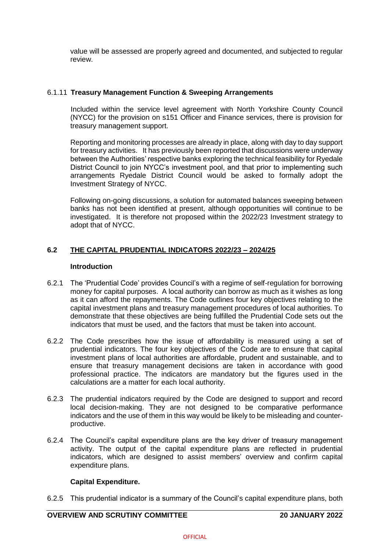value will be assessed are properly agreed and documented, and subjected to regular review.

## 6.1.11 **Treasury Management Function & Sweeping Arrangements**

Included within the service level agreement with North Yorkshire County Council (NYCC) for the provision on s151 Officer and Finance services, there is provision for treasury management support.

Reporting and monitoring processes are already in place, along with day to day support for treasury activities. It has previously been reported that discussions were underway between the Authorities' respective banks exploring the technical feasibility for Ryedale District Council to join NYCC's investment pool, and that prior to implementing such arrangements Ryedale District Council would be asked to formally adopt the Investment Strategy of NYCC.

Following on-going discussions, a solution for automated balances sweeping between banks has not been identified at present, although opportunities will continue to be investigated. It is therefore not proposed within the 2022/23 Investment strategy to adopt that of NYCC.

# **6.2 THE CAPITAL PRUDENTIAL INDICATORS 2022/23 – 2024/25**

## **Introduction**

- 6.2.1 The 'Prudential Code' provides Council's with a regime of self-regulation for borrowing money for capital purposes. A local authority can borrow as much as it wishes as long as it can afford the repayments. The Code outlines four key objectives relating to the capital investment plans and treasury management procedures of local authorities. To demonstrate that these objectives are being fulfilled the Prudential Code sets out the indicators that must be used, and the factors that must be taken into account.
- 6.2.2 The Code prescribes how the issue of affordability is measured using a set of prudential indicators. The four key objectives of the Code are to ensure that capital investment plans of local authorities are affordable, prudent and sustainable, and to ensure that treasury management decisions are taken in accordance with good professional practice. The indicators are mandatory but the figures used in the calculations are a matter for each local authority.
- 6.2.3 The prudential indicators required by the Code are designed to support and record local decision-making. They are not designed to be comparative performance indicators and the use of them in this way would be likely to be misleading and counterproductive.
- 6.2.4 The Council's capital expenditure plans are the key driver of treasury management activity. The output of the capital expenditure plans are reflected in prudential indicators, which are designed to assist members' overview and confirm capital expenditure plans.

## **Capital Expenditure.**

6.2.5 This prudential indicator is a summary of the Council's capital expenditure plans, both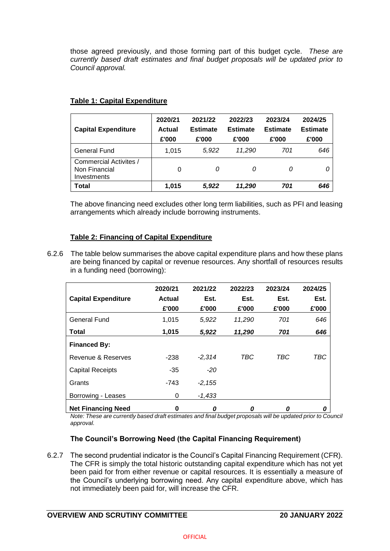those agreed previously, and those forming part of this budget cycle. *These are currently based draft estimates and final budget proposals will be updated prior to Council approval.*

| <b>Capital Expenditure</b>                             | 2020/21<br><b>Actual</b><br>£'000 | 2021/22<br><b>Estimate</b><br>£'000 |        | 2023/24<br><b>Estimate</b><br>£'000 | 2024/25<br><b>Estimate</b><br>£'000 |  |
|--------------------------------------------------------|-----------------------------------|-------------------------------------|--------|-------------------------------------|-------------------------------------|--|
| General Fund                                           | 1,015                             | 5.922                               | 11,290 | 701                                 | 646                                 |  |
| Commercial Activites /<br>Non Financial<br>Investments | 0                                 | 0                                   | 0      | 0                                   | 0                                   |  |
| Total                                                  | 1,015                             | 5,922                               | 11,290 | 701                                 | 646                                 |  |

## **Table 1: Capital Expenditure**

The above financing need excludes other long term liabilities, such as PFI and leasing arrangements which already include borrowing instruments.

# **Table 2: Financing of Capital Expenditure**

6.2.6 The table below summarises the above capital expenditure plans and how these plans are being financed by capital or revenue resources. Any shortfall of resources results in a funding need (borrowing):

|                            | 2020/21 | 2021/22  | 2022/23 | 2023/24 | 2024/25 |
|----------------------------|---------|----------|---------|---------|---------|
| <b>Capital Expenditure</b> | Actual  | Est.     | Est.    | Est.    | Est.    |
|                            | £'000   | £'000    | £'000   | £'000   | £'000   |
| <b>General Fund</b>        | 1.015   | 5,922    | 11,290  | 701     | 646     |
| Total                      | 1,015   | 5,922    | 11,290  | 701     | 646     |
| <b>Financed By:</b>        |         |          |         |         |         |
| Revenue & Reserves         | -238    | $-2,314$ | TBC     | TBC     | TBC     |
| <b>Capital Receipts</b>    | $-35$   | $-20$    |         |         |         |
| Grants                     | -743    | $-2,155$ |         |         |         |
| Borrowing - Leases         | 0       | $-1,433$ |         |         |         |
| <b>Net Financing Need</b>  | 0       | 0        | 0       | 0       | 0       |

*Note: These are currently based draft estimates and final budget proposals will be updated prior to Council approval.* 

# **The Council's Borrowing Need (the Capital Financing Requirement)**

6.2.7 The second prudential indicator is the Council's Capital Financing Requirement (CFR). The CFR is simply the total historic outstanding capital expenditure which has not yet been paid for from either revenue or capital resources. It is essentially a measure of the Council's underlying borrowing need. Any capital expenditure above, which has not immediately been paid for, will increase the CFR.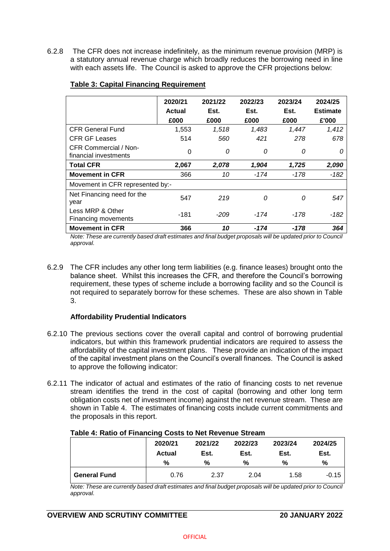6.2.8 The CFR does not increase indefinitely, as the minimum revenue provision (MRP) is a statutory annual revenue charge which broadly reduces the borrowing need in line with each assets life. The Council is asked to approve the CFR projections below:

|                                                | 2020/21 | 2021/22 | 2022/23  | 2023/24  | 2024/25         |
|------------------------------------------------|---------|---------|----------|----------|-----------------|
|                                                | Actual  | Est.    | Est.     | Est.     | <b>Estimate</b> |
|                                                | £000    | £000    | £000     | £000     | £'000           |
| <b>CFR General Fund</b>                        | 1,553   | 1,518   | 1,483    | 1,447    | 1,412           |
| <b>CFR GF Leases</b>                           | 514     | 560     | 421      | 278      | 678             |
| CFR Commercial / Non-<br>financial investments | 0       | 0       | $\Omega$ | 0        | 0               |
| <b>Total CFR</b>                               | 2,067   | 2,078   | 1,904    | 1,725    | 2,090           |
| <b>Movement in CFR</b>                         | 366     | 10      | -174     | -178     | $-182$          |
| Movement in CFR represented by:-               |         |         |          |          |                 |
| Net Financing need for the<br>year             | 547     | 219     | 0        | $\Omega$ | 547             |
| Less MRP & Other<br>Financing movements        | -181    | -209    | -174     | -178     | -182            |
| <b>Movement in CFR</b>                         | 366     | 10      | -174     | -178     | 364             |

## **Table 3: Capital Financing Requirement**

*Note: These are currently based draft estimates and final budget proposals will be updated prior to Council approval.* 

6.2.9 The CFR includes any other long term liabilities (e.g. finance leases) brought onto the balance sheet. Whilst this increases the CFR, and therefore the Council's borrowing requirement, these types of scheme include a borrowing facility and so the Council is not required to separately borrow for these schemes. These are also shown in Table 3.

## **Affordability Prudential Indicators**

- 6.2.10 The previous sections cover the overall capital and control of borrowing prudential indicators, but within this framework prudential indicators are required to assess the affordability of the capital investment plans. These provide an indication of the impact of the capital investment plans on the Council's overall finances. The Council is asked to approve the following indicator:
- 6.2.11 The indicator of actual and estimates of the ratio of financing costs to net revenue stream identifies the trend in the cost of capital (borrowing and other long term obligation costs net of investment income) against the net revenue stream. These are shown in Table 4. The estimates of financing costs include current commitments and the proposals in this report.

|                     | 2020/21 | 2021/22 | 2022/23 | 2023/24 | 2024/25 |
|---------------------|---------|---------|---------|---------|---------|
|                     | Actual  | Est.    | Est.    | Est.    | Est.    |
|                     | %       | %       | %       | %       | %       |
| <b>General Fund</b> | 0.76    | 2.37    | 2.04    | 1.58    | $-0.15$ |

## **Table 4: Ratio of Financing Costs to Net Revenue Stream**

*Note: These are currently based draft estimates and final budget proposals will be updated prior to Council approval.* 

# **OVERVIEW AND SCRUTINY COMMITTEE 20 JANUARY 2022**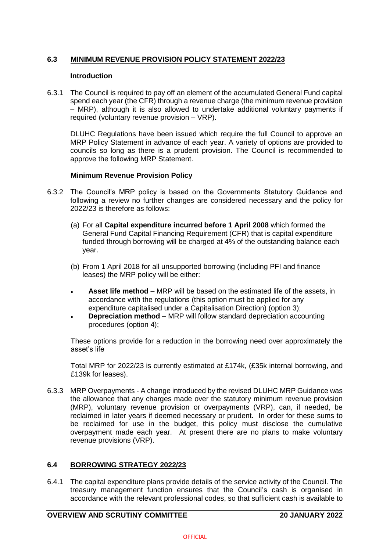# **6.3 MINIMUM REVENUE PROVISION POLICY STATEMENT 2022/23**

#### **Introduction**

6.3.1 The Council is required to pay off an element of the accumulated General Fund capital spend each year (the CFR) through a revenue charge (the minimum revenue provision – MRP), although it is also allowed to undertake additional voluntary payments if required (voluntary revenue provision – VRP).

DLUHC Regulations have been issued which require the full Council to approve an MRP Policy Statement in advance of each year. A variety of options are provided to councils so long as there is a prudent provision. The Council is recommended to approve the following MRP Statement.

#### **Minimum Revenue Provision Policy**

- 6.3.2 The Council's MRP policy is based on the Governments Statutory Guidance and following a review no further changes are considered necessary and the policy for 2022/23 is therefore as follows:
	- (a) For all **Capital expenditure incurred before 1 April 2008** which formed the General Fund Capital Financing Requirement (CFR) that is capital expenditure funded through borrowing will be charged at 4% of the outstanding balance each year.
	- (b) From 1 April 2018 for all unsupported borrowing (including PFI and finance leases) the MRP policy will be either:
	- **Asset life method** MRP will be based on the estimated life of the assets, in accordance with the regulations (this option must be applied for any expenditure capitalised under a Capitalisation Direction) (option 3);
	- **Depreciation method**  MRP will follow standard depreciation accounting procedures (option 4);

These options provide for a reduction in the borrowing need over approximately the asset's life

Total MRP for 2022/23 is currently estimated at £174k, (£35k internal borrowing, and £139k for leases).

6.3.3 MRP Overpayments - A change introduced by the revised DLUHC MRP Guidance was the allowance that any charges made over the statutory minimum revenue provision (MRP), voluntary revenue provision or overpayments (VRP), can, if needed, be reclaimed in later years if deemed necessary or prudent. In order for these sums to be reclaimed for use in the budget, this policy must disclose the cumulative overpayment made each year. At present there are no plans to make voluntary revenue provisions (VRP).

## **6.4 BORROWING STRATEGY 2022/23**

6.4.1 The capital expenditure plans provide details of the service activity of the Council. The treasury management function ensures that the Council's cash is organised in accordance with the relevant professional codes, so that sufficient cash is available to

# **OVERVIEW AND SCRUTINY COMMITTEE 20 JANUARY 2022**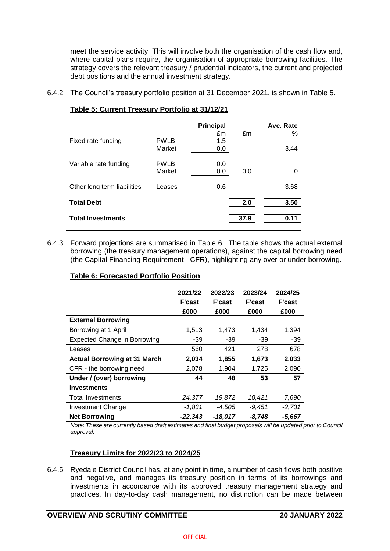meet the service activity. This will involve both the organisation of the cash flow and, where capital plans require, the organisation of appropriate borrowing facilities. The strategy covers the relevant treasury / prudential indicators, the current and projected debt positions and the annual investment strategy.

6.4.2 The Council's treasury portfolio position at 31 December 2021, is shown in Table 5.

|                             |             | Principal |      | Ave. Rate |
|-----------------------------|-------------|-----------|------|-----------|
|                             |             | £m        | £m   | ℅         |
| Fixed rate funding          | <b>PWLB</b> | 1.5       |      |           |
|                             | Market      | 0.0       |      | 3.44      |
|                             |             |           |      |           |
| Variable rate funding       | <b>PWLB</b> | 0.0       |      |           |
|                             | Market      | 0.0       | 0.0  | 0         |
|                             |             |           |      |           |
| Other long term liabilities | Leases      | 0.6       |      | 3.68      |
|                             |             |           |      |           |
| <b>Total Debt</b>           |             |           | 2.0  | 3.50      |
|                             |             |           |      |           |
| <b>Total Investments</b>    |             |           | 37.9 | 0.11      |

# **Table 5: Current Treasury Portfolio at 31/12/21**

6.4.3 Forward projections are summarised in Table 6. The table shows the actual external borrowing (the treasury management operations), against the capital borrowing need (the Capital Financing Requirement - CFR), highlighting any over or under borrowing.

| <b>Table 6: Forecasted Portfolio Position</b> |  |
|-----------------------------------------------|--|
|                                               |  |

|                                     | 2021/22<br><b>F'cast</b><br>£000 | 2022/23<br><b>F'cast</b><br>£000 | 2023/24<br><b>F'cast</b><br>£000 | 2024/25<br><b>F'cast</b><br>£000 |
|-------------------------------------|----------------------------------|----------------------------------|----------------------------------|----------------------------------|
| <b>External Borrowing</b>           |                                  |                                  |                                  |                                  |
| Borrowing at 1 April                | 1,513                            | 1,473                            | 1,434                            | 1,394                            |
| <b>Expected Change in Borrowing</b> | -39                              | $-39$                            | $-39$                            | $-39$                            |
| Leases                              | 560                              | 421                              | 278                              | 678                              |
| <b>Actual Borrowing at 31 March</b> | 2,034                            | 1,855                            | 1,673                            | 2,033                            |
| CFR - the borrowing need            | 2,078                            | 1,904                            | 1,725                            | 2,090                            |
| Under / (over) borrowing            | 44                               | 48                               | 53                               | 57                               |
| <b>Investments</b>                  |                                  |                                  |                                  |                                  |
| <b>Total Investments</b>            | 24,377                           | 19,872                           | 10,421                           | 7,690                            |
| <b>Investment Change</b>            | $-1,831$                         | $-4,505$                         | $-9,451$                         | $-2,731$                         |
| <b>Net Borrowing</b>                | $-22,343$                        | -18,017                          | $-8,748$                         | $-5,667$                         |

*Note: These are currently based draft estimates and final budget proposals will be updated prior to Council approval.* 

# **Treasury Limits for 2022/23 to 2024/25**

6.4.5 Ryedale District Council has, at any point in time, a number of cash flows both positive and negative, and manages its treasury position in terms of its borrowings and investments in accordance with its approved treasury management strategy and practices. In day-to-day cash management, no distinction can be made between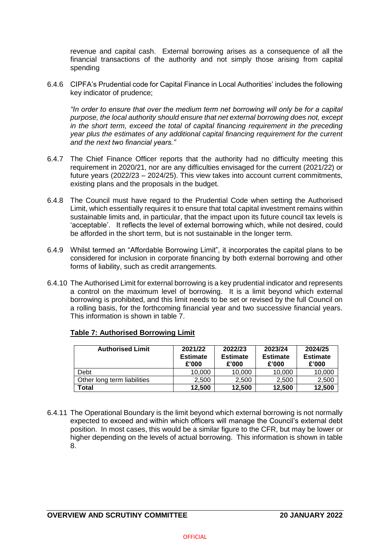revenue and capital cash. External borrowing arises as a consequence of all the financial transactions of the authority and not simply those arising from capital spending

6.4.6 CIPFA's Prudential code for Capital Finance in Local Authorities' includes the following key indicator of prudence;

*"In order to ensure that over the medium term net borrowing will only be for a capital purpose, the local authority should ensure that net external borrowing does not, except in the short term, exceed the total of capital financing requirement in the preceding year plus the estimates of any additional capital financing requirement for the current and the next two financial years."*

- 6.4.7 The Chief Finance Officer reports that the authority had no difficulty meeting this requirement in 2020/21, nor are any difficulties envisaged for the current (2021/22) or future years (2022/23 – 2024/25). This view takes into account current commitments, existing plans and the proposals in the budget.
- 6.4.8 The Council must have regard to the Prudential Code when setting the Authorised Limit, which essentially requires it to ensure that total capital investment remains within sustainable limits and, in particular, that the impact upon its future council tax levels is 'acceptable'. It reflects the level of external borrowing which, while not desired, could be afforded in the short term, but is not sustainable in the longer term.
- 6.4.9 Whilst termed an "Affordable Borrowing Limit", it incorporates the capital plans to be considered for inclusion in corporate financing by both external borrowing and other forms of liability, such as credit arrangements.
- 6.4.10 The Authorised Limit for external borrowing is a key prudential indicator and represents a control on the maximum level of borrowing. It is a limit beyond which external borrowing is prohibited, and this limit needs to be set or revised by the full Council on a rolling basis, for the forthcoming financial year and two successive financial years. This information is shown in table 7.

| <b>Authorised Limit</b>     | 2021/22<br><b>Estimate</b><br>£'000 | 2022/23<br><b>Estimate</b><br>£'000 | 2023/24<br><b>Estimate</b><br>£'000 | 2024/25<br><b>Estimate</b><br>£'000 |
|-----------------------------|-------------------------------------|-------------------------------------|-------------------------------------|-------------------------------------|
| Debt                        | 10,000                              | 10,000                              | 10,000                              | 10,000                              |
| Other long term liabilities | 2.500                               | 2.500                               | 2.500                               | 2,500                               |
| Total                       | 12.500                              | 12.500                              | 12,500                              | 12,500                              |

## **Table 7: Authorised Borrowing Limit**

6.4.11 The Operational Boundary is the limit beyond which external borrowing is not normally expected to exceed and within which officers will manage the Council's external debt position. In most cases, this would be a similar figure to the CFR, but may be lower or higher depending on the levels of actual borrowing. This information is shown in table 8.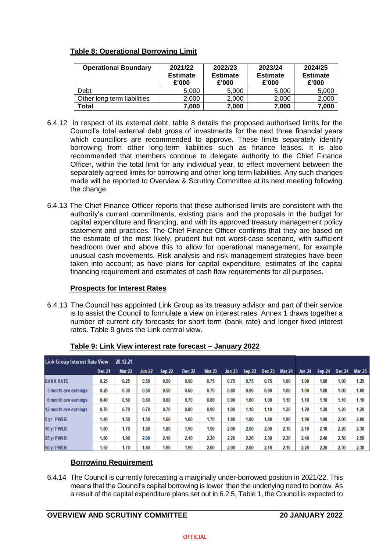# **Table 8: Operational Borrowing Limit**

| <b>Operational Boundary</b> | 2021/22<br><b>Estimate</b><br>£'000 | 2022/23<br><b>Estimate</b><br>£'000 | 2023/24<br><b>Estimate</b><br>£'000 | 2024/25<br><b>Estimate</b><br>£'000 |
|-----------------------------|-------------------------------------|-------------------------------------|-------------------------------------|-------------------------------------|
| Debt                        | 5,000                               | 5,000                               | 5,000                               | 5,000                               |
| Other long term liabilities | 2,000                               | 2,000                               | 2.000                               | 2,000                               |
| Total                       | 7,000                               | 7,000                               | 7.000                               | 7,000                               |

- 6.4.12 In respect of its external debt, table 8 details the proposed authorised limits for the Council's total external debt gross of investments for the next three financial years which councillors are recommended to approve. These limits separately identify borrowing from other long-term liabilities such as finance leases. It is also recommended that members continue to delegate authority to the Chief Finance Officer, within the total limit for any individual year, to effect movement between the separately agreed limits for borrowing and other long term liabilities. Any such changes made will be reported to Overview & Scrutiny Committee at its next meeting following the change.
- 6.4.13 The Chief Finance Officer reports that these authorised limits are consistent with the authority's current commitments, existing plans and the proposals in the budget for capital expenditure and financing, and with its approved treasury management policy statement and practices. The Chief Finance Officer confirms that they are based on the estimate of the most likely, prudent but not worst-case scenario, with sufficient headroom over and above this to allow for operational management, for example unusual cash movements. Risk analysis and risk management strategies have been taken into account; as have plans for capital expenditure, estimates of the capital financing requirement and estimates of cash flow requirements for all purposes.

## **Prospects for Interest Rates**

6.4.13 The Council has appointed Link Group as its treasury advisor and part of their service is to assist the Council to formulate a view on interest rates. Annex 1 draws together a number of current city forecasts for short term (bank rate) and longer fixed interest rates. Table 9 gives the Link central view.

| <b>Link Group Interest Rate View</b> |        | 20.12.21      |               |               |          |               |          |               |        |               |          |               |          |          |
|--------------------------------------|--------|---------------|---------------|---------------|----------|---------------|----------|---------------|--------|---------------|----------|---------------|----------|----------|
|                                      | Dec-21 | <b>Mar-22</b> | <b>Jun-22</b> | <b>Sep-22</b> | $Dec-22$ | <b>Mar-23</b> | $Jun-23$ | <b>Sep-23</b> | Dec-23 | <b>Mar-24</b> | $Jun-24$ | <b>Sep-24</b> | $Dec-24$ | $Mar-25$ |
| <b>BANK RATE</b>                     | 0.25   | 0.25          | 0.50          | 0.50          | 0.50     | 0.75          | 0.75     | 0.75          | 0.75   | 1.00          | 1.00     | 1.00          | 1.00     | 1.25     |
| 3 month ave earnings                 | 0.20   | 0.30          | 0.50          | 0.50          | 0.60     | 0.70          | 0.80     | 0.90          | 0.90   | 1.00          | 1.00     | 1.00          | 1.00     | 1.00     |
| 6 month ave earnings                 | 0.40   | 0.50          | 0.60          | 0.60          | 0.70     | 0.80          | 0.90     | 1.00          | 1.00   | 1.10          | 1.10     | 1.10          | 1.10     | 1.10     |
| 12 month ave earnings                | 0.70   | 0.70          | 0.70          | 0.70          | 0.80     | 0.90          | 1.00     | 1.10          | 1.10   | 1.20          | 1.20     | 1.20          | 1.20     | 1.20     |
| 5 yr PWLB                            | 1.40   | 1.50          | 1.50          | 1.60          | 1.60     | 1.70          | 1.80     | 1.80          | 1.80   | 1.90          | 1.90     | 1.90          | 2.00     | 2.00     |
| 10 yr PWLB                           | 1.60   | 1.70          | 1.80          | 1.80          | 1.90     | 1.90          | 2.00     | 2.00          | 2.00   | 2.10          | 2.10     | 2.10          | 2.20     | 2.30     |
| 25 vr PWLB                           | 1.80   | 1.90          | 2.00          | 2.10          | 2.10     | 2.20          | 2.20     | 2.20          | 2.30   | 2.30          | 2.40     | 2.40          | 2.50     | 2.50     |
| 50 yr PWLB                           | 1.50   | 1.70          | 1.80          | 1.90          | 1.90     | 2.00          | 2.00     | 2.00          | 2.10   | 2.10          | 2.20     | 2.20          | 2.30     | 2.30     |

## **Table 9: Link View interest rate forecast – January 2022**

# **Borrowing Requirement**

6.4.14 The Council is currently forecasting a marginally under-borrowed position in 2021/22. This means that the Council's capital borrowing is lower than the underlying need to borrow. As a result of the capital expenditure plans set out in 6.2.5, Table 1, the Council is expected to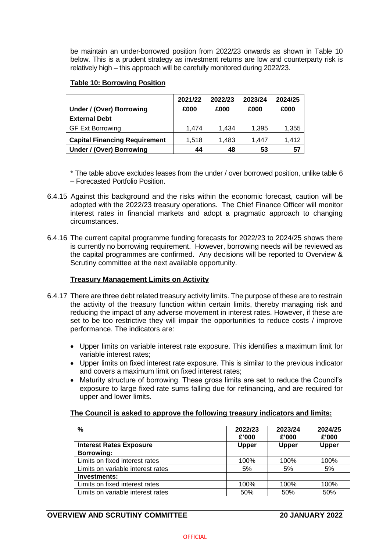be maintain an under-borrowed position from 2022/23 onwards as shown in Table 10 below. This is a prudent strategy as investment returns are low and counterparty risk is relatively high – this approach will be carefully monitored during 2022/23.

## **Table 10: Borrowing Position**

|                                      | 2021/22 | 2022/23 | 2023/24 | 2024/25 |
|--------------------------------------|---------|---------|---------|---------|
| Under / (Over) Borrowing             | £000    | £000    | £000    | £000    |
| <b>External Debt</b>                 |         |         |         |         |
| <b>GF Ext Borrowing</b>              | 1.474   | 1.434   | 1.395   | 1,355   |
| <b>Capital Financing Requirement</b> | 1,518   | 1.483   | 1.447   | 1.412   |
| Under / (Over) Borrowing             | 44      | 48      | 53      | 57      |

\* The table above excludes leases from the under / over borrowed position, unlike table 6 – Forecasted Portfolio Position.

- 6.4.15 Against this background and the risks within the economic forecast, caution will be adopted with the 2022/23 treasury operations. The Chief Finance Officer will monitor interest rates in financial markets and adopt a pragmatic approach to changing circumstances.
- 6.4.16 The current capital programme funding forecasts for 2022/23 to 2024/25 shows there is currently no borrowing requirement. However, borrowing needs will be reviewed as the capital programmes are confirmed. Any decisions will be reported to Overview & Scrutiny committee at the next available opportunity.

# **Treasury Management Limits on Activity**

- 6.4.17 There are three debt related treasury activity limits. The purpose of these are to restrain the activity of the treasury function within certain limits, thereby managing risk and reducing the impact of any adverse movement in interest rates. However, if these are set to be too restrictive they will impair the opportunities to reduce costs / improve performance. The indicators are:
	- Upper limits on variable interest rate exposure. This identifies a maximum limit for variable interest rates;
	- Upper limits on fixed interest rate exposure. This is similar to the previous indicator and covers a maximum limit on fixed interest rates;
	- Maturity structure of borrowing. These gross limits are set to reduce the Council's exposure to large fixed rate sums falling due for refinancing, and are required for upper and lower limits.

## **The Council is asked to approve the following treasury indicators and limits:**

| $\frac{0}{0}$                     | 2022/23<br>£'000 | 2023/24<br>£'000 | 2024/25<br>£'000 |
|-----------------------------------|------------------|------------------|------------------|
| <b>Interest Rates Exposure</b>    | <b>Upper</b>     | <b>Upper</b>     | <b>Upper</b>     |
| <b>Borrowing:</b>                 |                  |                  |                  |
| Limits on fixed interest rates    | 100%             | 100%             | 100%             |
| Limits on variable interest rates | 5%               | 5%               | 5%               |
| <b>Investments:</b>               |                  |                  |                  |
| Limits on fixed interest rates    | 100%             | 100%             | 100%             |
| Limits on variable interest rates | 50%              | 50%              | 50%              |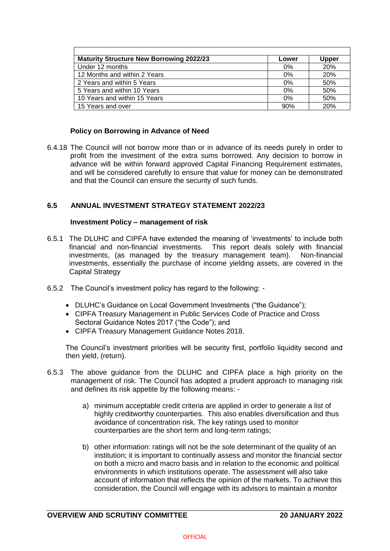| <b>Maturity Structure New Borrowing 2022/23</b> | Lower | Upper      |
|-------------------------------------------------|-------|------------|
| Under 12 months                                 | 0%    | 20%        |
| 12 Months and within 2 Years                    | 0%    | <b>20%</b> |
| 2 Years and within 5 Years                      | 0%    | 50%        |
| 5 Years and within 10 Years                     | 0%    | 50%        |
| 10 Years and within 15 Years                    | 0%    | 50%        |
| 15 Years and over                               | 90%   | 20%        |

## **Policy on Borrowing in Advance of Need**

6.4.18 The Council will not borrow more than or in advance of its needs purely in order to profit from the investment of the extra sums borrowed. Any decision to borrow in advance will be within forward approved Capital Financing Requirement estimates, and will be considered carefully to ensure that value for money can be demonstrated and that the Council can ensure the security of such funds.

#### **6.5 ANNUAL INVESTMENT STRATEGY STATEMENT 2022/23**

#### **Investment Policy – management of risk**

- 6.5.1 The DLUHC and CIPFA have extended the meaning of 'investments' to include both financial and non-financial investments. This report deals solely with financial investments, (as managed by the treasury management team). Non-financial investments, essentially the purchase of income yielding assets, are covered in the Capital Strategy
- 6.5.2 The Council's investment policy has regard to the following:
	- DLUHC's Guidance on Local Government Investments ("the Guidance");
	- CIPFA Treasury Management in Public Services Code of Practice and Cross Sectoral Guidance Notes 2017 ("the Code"); and
	- CIPFA Treasury Management Guidance Notes 2018.

The Council's investment priorities will be security first, portfolio liquidity second and then yield, (return).

- 6.5.3 The above guidance from the DLUHC and CIPFA place a high priority on the management of risk. The Council has adopted a prudent approach to managing risk and defines its risk appetite by the following means:
	- a) minimum acceptable credit criteria are applied in order to generate a list of highly creditworthy counterparties. This also enables diversification and thus avoidance of concentration risk. The key ratings used to monitor counterparties are the short term and long-term ratings;
	- b) other information: ratings will not be the sole determinant of the quality of an institution; it is important to continually assess and monitor the financial sector on both a micro and macro basis and in relation to the economic and political environments in which institutions operate. The assessment will also take account of information that reflects the opinion of the markets. To achieve this consideration, the Council will engage with its advisors to maintain a monitor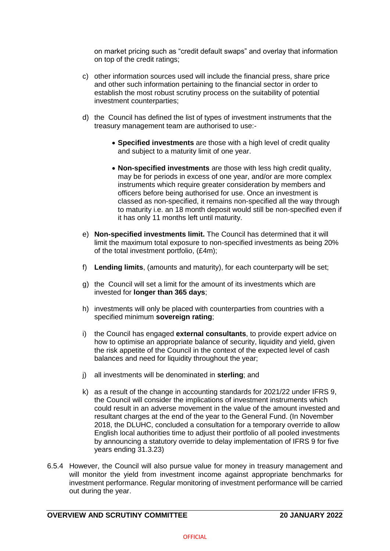on market pricing such as "credit default swaps" and overlay that information on top of the credit ratings;

- c) other information sources used will include the financial press, share price and other such information pertaining to the financial sector in order to establish the most robust scrutiny process on the suitability of potential investment counterparties;
- d) the Council has defined the list of types of investment instruments that the treasury management team are authorised to use:-
	- **Specified investments** are those with a high level of credit quality and subject to a maturity limit of one year.
	- **Non-specified investments** are those with less high credit quality, may be for periods in excess of one year, and/or are more complex instruments which require greater consideration by members and officers before being authorised for use. Once an investment is classed as non-specified, it remains non-specified all the way through to maturity i.e. an 18 month deposit would still be non-specified even if it has only 11 months left until maturity.
- e) **Non-specified investments limit.** The Council has determined that it will limit the maximum total exposure to non-specified investments as being 20% of the total investment portfolio, (£4m);
- f) **Lending limits**, (amounts and maturity), for each counterparty will be set;
- g) the Council will set a limit for the amount of its investments which are invested for **longer than 365 days**;
- h) investments will only be placed with counterparties from countries with a specified minimum **sovereign rating**;
- i) the Council has engaged **external consultants**, to provide expert advice on how to optimise an appropriate balance of security, liquidity and yield, given the risk appetite of the Council in the context of the expected level of cash balances and need for liquidity throughout the year;
- j) all investments will be denominated in **sterling**; and
- k) as a result of the change in accounting standards for 2021/22 under IFRS 9, the Council will consider the implications of investment instruments which could result in an adverse movement in the value of the amount invested and resultant charges at the end of the year to the General Fund. (In November 2018, the DLUHC, concluded a consultation for a temporary override to allow English local authorities time to adjust their portfolio of all pooled investments by announcing a statutory override to delay implementation of IFRS 9 for five years ending 31.3.23)
- 6.5.4 However, the Council will also pursue value for money in treasury management and will monitor the yield from investment income against appropriate benchmarks for investment performance. Regular monitoring of investment performance will be carried out during the year.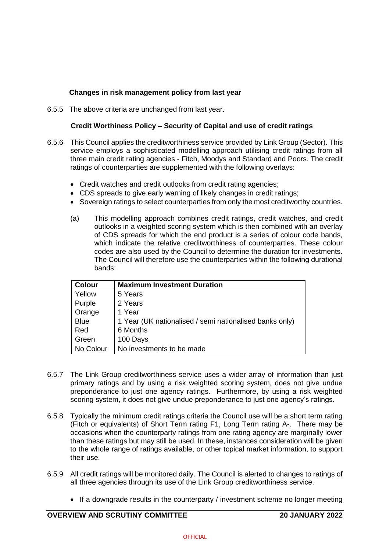# **Changes in risk management policy from last year**

6.5.5 The above criteria are unchanged from last year.

## **Credit Worthiness Policy – Security of Capital and use of credit ratings**

- 6.5.6 This Council applies the creditworthiness service provided by Link Group (Sector). This service employs a sophisticated modelling approach utilising credit ratings from all three main credit rating agencies - Fitch, Moodys and Standard and Poors. The credit ratings of counterparties are supplemented with the following overlays:
	- Credit watches and credit outlooks from credit rating agencies;
	- CDS spreads to give early warning of likely changes in credit ratings:
	- Sovereign ratings to select counterparties from only the most creditworthy countries.
	- (a) This modelling approach combines credit ratings, credit watches, and credit outlooks in a weighted scoring system which is then combined with an overlay of CDS spreads for which the end product is a series of colour code bands, which indicate the relative creditworthiness of counterparties. These colour codes are also used by the Council to determine the duration for investments. The Council will therefore use the counterparties within the following durational bands:

| <b>Colour</b> | <b>Maximum Investment Duration</b>                      |
|---------------|---------------------------------------------------------|
| Yellow        | 5 Years                                                 |
| Purple        | 2 Years                                                 |
| Orange        | 1 Year                                                  |
| <b>Blue</b>   | 1 Year (UK nationalised / semi nationalised banks only) |
| Red           | 6 Months                                                |
| Green         | 100 Days                                                |
| No Colour     | No investments to be made                               |

- 6.5.7 The Link Group creditworthiness service uses a wider array of information than just primary ratings and by using a risk weighted scoring system, does not give undue preponderance to just one agency ratings. Furthermore, by using a risk weighted scoring system, it does not give undue preponderance to just one agency's ratings.
- 6.5.8 Typically the minimum credit ratings criteria the Council use will be a short term rating (Fitch or equivalents) of Short Term rating F1, Long Term rating A-. There may be occasions when the counterparty ratings from one rating agency are marginally lower than these ratings but may still be used. In these, instances consideration will be given to the whole range of ratings available, or other topical market information, to support their use.
- 6.5.9 All credit ratings will be monitored daily. The Council is alerted to changes to ratings of all three agencies through its use of the Link Group creditworthiness service.
	- If a downgrade results in the counterparty / investment scheme no longer meeting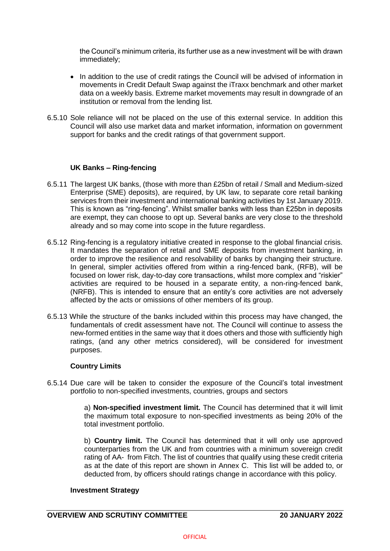the Council's minimum criteria, its further use as a new investment will be with drawn immediately;

- In addition to the use of credit ratings the Council will be advised of information in movements in Credit Default Swap against the iTraxx benchmark and other market data on a weekly basis. Extreme market movements may result in downgrade of an institution or removal from the lending list.
- 6.5.10 Sole reliance will not be placed on the use of this external service. In addition this Council will also use market data and market information, information on government support for banks and the credit ratings of that government support.

## **UK Banks – Ring-fencing**

- 6.5.11 The largest UK banks, (those with more than £25bn of retail / Small and Medium-sized Enterprise (SME) deposits), are required, by UK law, to separate core retail banking services from their investment and international banking activities by 1st January 2019. This is known as "ring-fencing". Whilst smaller banks with less than £25bn in deposits are exempt, they can choose to opt up. Several banks are very close to the threshold already and so may come into scope in the future regardless.
- 6.5.12 Ring-fencing is a regulatory initiative created in response to the global financial crisis. It mandates the separation of retail and SME deposits from investment banking, in order to improve the resilience and resolvability of banks by changing their structure. In general, simpler activities offered from within a ring-fenced bank, (RFB), will be focused on lower risk, day-to-day core transactions, whilst more complex and "riskier" activities are required to be housed in a separate entity, a non-ring-fenced bank, (NRFB). This is intended to ensure that an entity's core activities are not adversely affected by the acts or omissions of other members of its group.
- 6.5.13 While the structure of the banks included within this process may have changed, the fundamentals of credit assessment have not. The Council will continue to assess the new-formed entities in the same way that it does others and those with sufficiently high ratings, (and any other metrics considered), will be considered for investment purposes.

## **Country Limits**

6.5.14 Due care will be taken to consider the exposure of the Council's total investment portfolio to non-specified investments, countries, groups and sectors

> a) **Non-specified investment limit.** The Council has determined that it will limit the maximum total exposure to non-specified investments as being 20% of the total investment portfolio.

> b) **Country limit.** The Council has determined that it will only use approved counterparties from the UK and from countries with a minimum sovereign credit rating of AA- from Fitch. The list of countries that qualify using these credit criteria as at the date of this report are shown in Annex C. This list will be added to, or deducted from, by officers should ratings change in accordance with this policy.

## **Investment Strategy**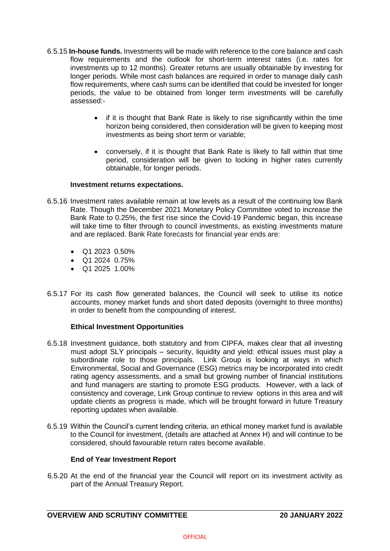- 6.5.15 **In-house funds.** Investments will be made with reference to the core balance and cash flow requirements and the outlook for short-term interest rates (i.e. rates for investments up to 12 months). Greater returns are usually obtainable by investing for longer periods. While most cash balances are required in order to manage daily cash flow requirements, where cash sums can be identified that could be invested for longer periods, the value to be obtained from longer term investments will be carefully assessed:-
	- if it is thought that Bank Rate is likely to rise significantly within the time horizon being considered, then consideration will be given to keeping most investments as being short term or variable;
	- conversely, if it is thought that Bank Rate is likely to fall within that time period, consideration will be given to locking in higher rates currently obtainable, for longer periods.

#### **Investment returns expectations.**

- 6.5.16 Investment rates available remain at low levels as a result of the continuing low Bank Rate. Though the December 2021 Monetary Policy Committee voted to increase the Bank Rate to 0.25%, the first rise since the Covid-19 Pandemic began, this increase will take time to filter through to council investments, as existing investments mature and are replaced. Bank Rate forecasts for financial year ends are:
	- Q1 2023 0.50%
	- Q1 2024 0.75%
	- Q1 2025 1.00%
- 6.5.17 For its cash flow generated balances, the Council will seek to utilise its notice accounts, money market funds and short dated deposits (overnight to three months) in order to benefit from the compounding of interest.

## **Ethical Investment Opportunities**

- 6.5.18 Investment guidance, both statutory and from CIPFA, makes clear that all investing must adopt SLY principals – security, liquidity and yield: ethical issues must play a subordinate role to those principals. Link Group is looking at ways in which Environmental, Social and Governance (ESG) metrics may be incorporated into credit rating agency assessments, and a small but growing number of financial institutions and fund managers are starting to promote ESG products. However, with a lack of consistency and coverage, Link Group continue to review options in this area and will update clients as progress is made, which will be brought forward in future Treasury reporting updates when available.
- 6.5.19 Within the Council's current lending criteria, an ethical money market fund is available to the Council for investment, (details are attached at Annex H) and will continue to be considered, should favourable return rates become available.

## **End of Year Investment Report**

6.5.20 At the end of the financial year the Council will report on its investment activity as part of the Annual Treasury Report.